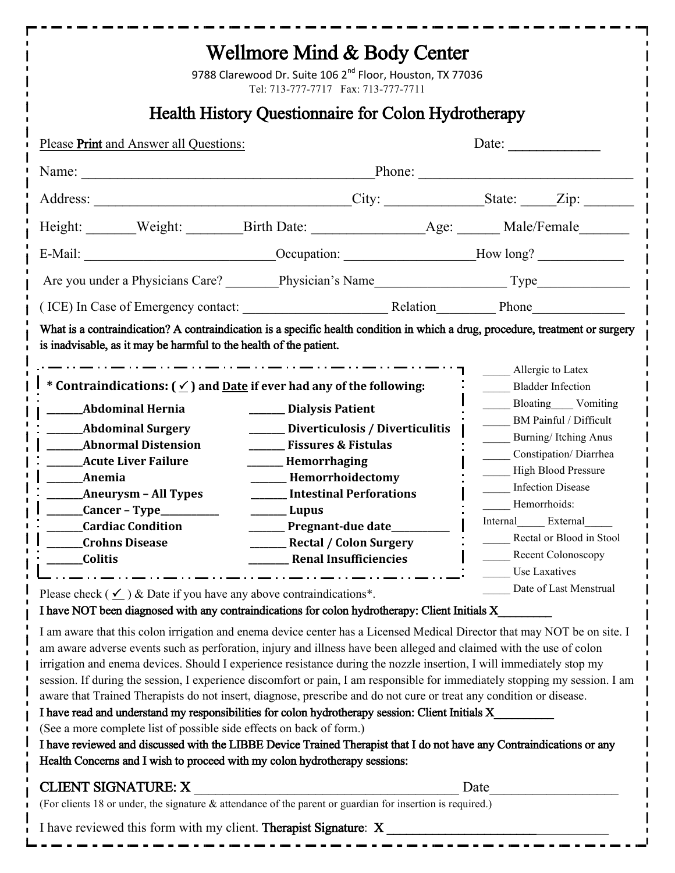| Wellmore Mind & Body Center<br>9788 Clarewood Dr. Suite 106 2 <sup>nd</sup> Floor, Houston, TX 77036<br>Tel: 713-777-7717 Fax: 713-777-7711                                                                                                                                                                                                                                                                                                                                                                                                                                                                                                                                                                                                                                                                                                                                                                                                                                                                                                                                                                                                                                                                                                                                                                                                                                                                                 |                                                                                                                                                                                                                                                                                                                |                                                                                                                                                                                                                                                                                                                                                    |
|-----------------------------------------------------------------------------------------------------------------------------------------------------------------------------------------------------------------------------------------------------------------------------------------------------------------------------------------------------------------------------------------------------------------------------------------------------------------------------------------------------------------------------------------------------------------------------------------------------------------------------------------------------------------------------------------------------------------------------------------------------------------------------------------------------------------------------------------------------------------------------------------------------------------------------------------------------------------------------------------------------------------------------------------------------------------------------------------------------------------------------------------------------------------------------------------------------------------------------------------------------------------------------------------------------------------------------------------------------------------------------------------------------------------------------|----------------------------------------------------------------------------------------------------------------------------------------------------------------------------------------------------------------------------------------------------------------------------------------------------------------|----------------------------------------------------------------------------------------------------------------------------------------------------------------------------------------------------------------------------------------------------------------------------------------------------------------------------------------------------|
| <b>Health History Questionnaire for Colon Hydrotherapy</b>                                                                                                                                                                                                                                                                                                                                                                                                                                                                                                                                                                                                                                                                                                                                                                                                                                                                                                                                                                                                                                                                                                                                                                                                                                                                                                                                                                  |                                                                                                                                                                                                                                                                                                                |                                                                                                                                                                                                                                                                                                                                                    |
| Please Print and Answer all Questions:                                                                                                                                                                                                                                                                                                                                                                                                                                                                                                                                                                                                                                                                                                                                                                                                                                                                                                                                                                                                                                                                                                                                                                                                                                                                                                                                                                                      |                                                                                                                                                                                                                                                                                                                | Date:                                                                                                                                                                                                                                                                                                                                              |
|                                                                                                                                                                                                                                                                                                                                                                                                                                                                                                                                                                                                                                                                                                                                                                                                                                                                                                                                                                                                                                                                                                                                                                                                                                                                                                                                                                                                                             | Name: Name: Name: Name: Name: Name: Name: Name: Name: Name: Name: Name: Name: Name: Name: Name: Name: Name: Name: Name: Name: Name: Name: Name: Name: Name: Name: Name: Name: Name: Name: Name: Name: Name: Name: Name: Name:                                                                                  |                                                                                                                                                                                                                                                                                                                                                    |
|                                                                                                                                                                                                                                                                                                                                                                                                                                                                                                                                                                                                                                                                                                                                                                                                                                                                                                                                                                                                                                                                                                                                                                                                                                                                                                                                                                                                                             |                                                                                                                                                                                                                                                                                                                |                                                                                                                                                                                                                                                                                                                                                    |
|                                                                                                                                                                                                                                                                                                                                                                                                                                                                                                                                                                                                                                                                                                                                                                                                                                                                                                                                                                                                                                                                                                                                                                                                                                                                                                                                                                                                                             |                                                                                                                                                                                                                                                                                                                |                                                                                                                                                                                                                                                                                                                                                    |
|                                                                                                                                                                                                                                                                                                                                                                                                                                                                                                                                                                                                                                                                                                                                                                                                                                                                                                                                                                                                                                                                                                                                                                                                                                                                                                                                                                                                                             |                                                                                                                                                                                                                                                                                                                |                                                                                                                                                                                                                                                                                                                                                    |
|                                                                                                                                                                                                                                                                                                                                                                                                                                                                                                                                                                                                                                                                                                                                                                                                                                                                                                                                                                                                                                                                                                                                                                                                                                                                                                                                                                                                                             |                                                                                                                                                                                                                                                                                                                |                                                                                                                                                                                                                                                                                                                                                    |
|                                                                                                                                                                                                                                                                                                                                                                                                                                                                                                                                                                                                                                                                                                                                                                                                                                                                                                                                                                                                                                                                                                                                                                                                                                                                                                                                                                                                                             |                                                                                                                                                                                                                                                                                                                |                                                                                                                                                                                                                                                                                                                                                    |
| What is a contraindication? A contraindication is a specific health condition in which a drug, procedure, treatment or surgery<br>is inadvisable, as it may be harmful to the health of the patient.<br>* Contraindications: $(\angle)$ and <u>Date</u> if ever had any of the following:<br><b>Abdominal Hernia</b><br><b>Abdominal Surgery</b><br><b>Example 2</b> Abnormal Distension<br><b>Acute Liver Failure</b><br><b>Example 2</b> Anemia<br>$\begin{array}{c} \begin{array}{c} \begin{array}{c} \end{array} \end{array}$ Cancer - Type<br><b>Cardiac Condition</b><br><b>Crohns Disease</b><br>Colitis                                                                                                                                                                                                                                                                                                                                                                                                                                                                                                                                                                                                                                                                                                                                                                                                             | ________ Dialysis Patient<br>______ Diverticulosis / Diverticulitis<br><b>Election</b> Fissures & Fistulas<br>_______ Hemorrhaging<br>______ Hemorrhoidectomy<br>_____ Intestinal Perforations<br>$\frac{1}{2}$ Lupus<br>Pregnant-due date<br><b>Example 2</b> Rectal / Colon Surgery<br>Renal Insufficiencies | Allergic to Latex<br><b>Bladder Infection</b><br>Bloating Vomiting<br>BM Painful / Difficult<br><b>EXECUTE:</b> Burning/Itching Anus<br>Constipation/Diarrhea<br>High Blood Pressure<br><b>Infection Disease</b><br>Hemorrhoids:<br>Internal External<br>Rectal or Blood in Stool<br>Recent Colonoscopy<br>Use Laxatives<br>Date of Last Menstrual |
| Please check ( $\angle$ ) & Date if you have any above contraindications*.<br>I have NOT been diagnosed with any contraindications for colon hydrotherapy: Client Initials X<br>I am aware that this colon irrigation and enema device center has a Licensed Medical Director that may NOT be on site. I<br>am aware adverse events such as perforation, injury and illness have been alleged and claimed with the use of colon<br>irrigation and enema devices. Should I experience resistance during the nozzle insertion, I will immediately stop my<br>session. If during the session, I experience discomfort or pain, I am responsible for immediately stopping my session. I am<br>aware that Trained Therapists do not insert, diagnose, prescribe and do not cure or treat any condition or disease.<br>I have read and understand my responsibilities for colon hydrotherapy session: Client Initials X<br>(See a more complete list of possible side effects on back of form.)<br>I have reviewed and discussed with the LIBBE Device Trained Therapist that I do not have any Contraindications or any<br>Health Concerns and I wish to proceed with my colon hydrotherapy sessions:<br><b>CLIENT SIGNATURE: X</b><br>Date<br>(For clients 18 or under, the signature $\&$ attendance of the parent or guardian for insertion is required.)<br>I have reviewed this form with my client. Therapist Signature: X |                                                                                                                                                                                                                                                                                                                |                                                                                                                                                                                                                                                                                                                                                    |